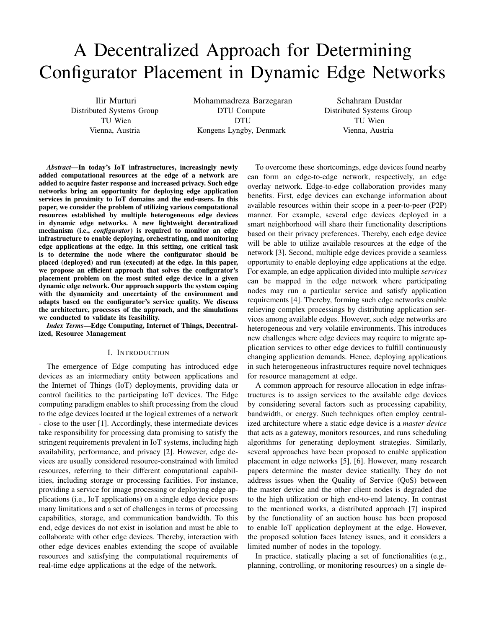# A Decentralized Approach for Determining Configurator Placement in Dynamic Edge Networks

Ilir Murturi Distributed Systems Group TU Wien Vienna, Austria

Mohammadreza Barzegaran DTU Compute DTU Kongens Lyngby, Denmark

Schahram Dustdar Distributed Systems Group TU Wien Vienna, Austria

*Abstract*—In today's IoT infrastructures, increasingly newly added computational resources at the edge of a network are added to acquire faster response and increased privacy. Such edge networks bring an opportunity for deploying edge application services in proximity to IoT domains and the end-users. In this paper, we consider the problem of utilizing various computational resources established by multiple heterogeneous edge devices in dynamic edge networks. A new lightweight decentralized mechanism (i.e., *configurator*) is required to monitor an edge infrastructure to enable deploying, orchestrating, and monitoring edge applications at the edge. In this setting, one critical task is to determine the node where the configurator should be placed (deployed) and run (executed) at the edge. In this paper, we propose an efficient approach that solves the configurator's placement problem on the most suited edge device in a given dynamic edge network. Our approach supports the system coping with the dynamicity and uncertainty of the environment and adapts based on the configurator's service quality. We discuss the architecture, processes of the approach, and the simulations we conducted to validate its feasibility.

*Index Terms*—Edge Computing, Internet of Things, Decentralized, Resource Management

#### I. INTRODUCTION

The emergence of Edge computing has introduced edge devices as an intermediary entity between applications and the Internet of Things (IoT) deployments, providing data or control facilities to the participating IoT devices. The Edge computing paradigm enables to shift processing from the cloud to the edge devices located at the logical extremes of a network - close to the user [1]. Accordingly, these intermediate devices take responsibility for processing data promising to satisfy the stringent requirements prevalent in IoT systems, including high availability, performance, and privacy [2]. However, edge devices are usually considered resource-constrained with limited resources, referring to their different computational capabilities, including storage or processing facilities. For instance, providing a service for image processing or deploying edge applications (i.e., IoT applications) on a single edge device poses many limitations and a set of challenges in terms of processing capabilities, storage, and communication bandwidth. To this end, edge devices do not exist in isolation and must be able to collaborate with other edge devices. Thereby, interaction with other edge devices enables extending the scope of available resources and satisfying the computational requirements of real-time edge applications at the edge of the network.

To overcome these shortcomings, edge devices found nearby can form an edge-to-edge network, respectively, an edge overlay network. Edge-to-edge collaboration provides many benefits. First, edge devices can exchange information about available resources within their scope in a peer-to-peer (P2P) manner. For example, several edge devices deployed in a smart neighborhood will share their functionality descriptions based on their privacy preferences. Thereby, each edge device will be able to utilize available resources at the edge of the network [3]. Second, multiple edge devices provide a seamless opportunity to enable deploying edge applications at the edge. For example, an edge application divided into multiple *services* can be mapped in the edge network where participating nodes may run a particular service and satisfy application requirements [4]. Thereby, forming such edge networks enable relieving complex processings by distributing application services among available edges. However, such edge networks are heterogeneous and very volatile environments. This introduces new challenges where edge devices may require to migrate application services to other edge devices to fulfill continuously changing application demands. Hence, deploying applications in such heterogeneous infrastructures require novel techniques for resource management at edge.

A common approach for resource allocation in edge infrastructures is to assign services to the available edge devices by considering several factors such as processing capability, bandwidth, or energy. Such techniques often employ centralized architecture where a static edge device is a *master device* that acts as a gateway, monitors resources, and runs scheduling algorithms for generating deployment strategies. Similarly, several approaches have been proposed to enable application placement in edge networks [5], [6]. However, many research papers determine the master device statically. They do not address issues when the Quality of Service (QoS) between the master device and the other client nodes is degraded due to the high utilization or high end-to-end latency. In contrast to the mentioned works, a distributed approach [7] inspired by the functionality of an auction house has been proposed to enable IoT application deployment at the edge. However, the proposed solution faces latency issues, and it considers a limited number of nodes in the topology.

In practice, statically placing a set of functionalities (e.g., planning, controlling, or monitoring resources) on a single de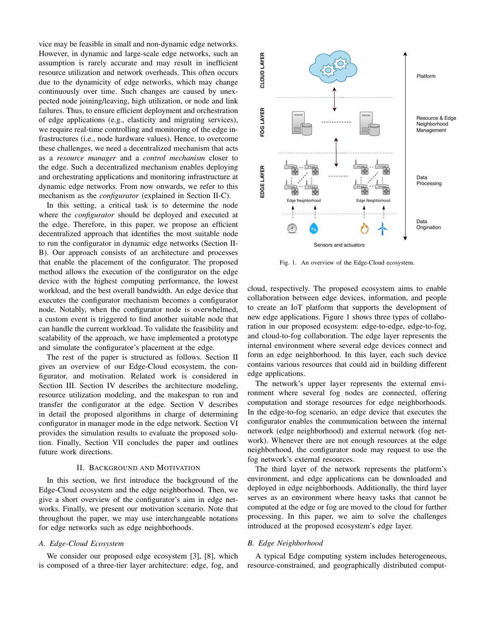vice may be feasible in small and non-dynamic edge networks. However, in dynamic and large-scale edge networks, such an assumption is rarely accurate and may result in inefficient resource utilization and network overheads. This often occurs due to the dynamicity of edge networks, which may change continuously over time. Such changes are caused by unexpected node joining/leaving, high utilization, or node and link failures. Thus, to ensure efficient deployment and orchestration of edge applications (e.g., elasticity and migrating services), we require real-time controlling and monitoring of the edge infrastructures (i.e., node hardware values). Hence, to overcome these challenges, we need a decentralized mechanism that acts as a *resource manager* and a *control mechanism* closer to the edge. Such a decentralized mechanism enables deploying and orchestrating applications and monitoring infrastructure at dynamic edge networks. From now onwards, we refer to this mechanism as the *configurator* (explained in Section II-C).

In this setting, a critical task is to determine the node where the *configurator* should be deployed and executed at the edge. Therefore, in this paper, we propose an efficient decentralized approach that identifies the most suitable node to run the configurator in dynamic edge networks (Section II-B). Our approach consists of an architecture and processes that enable the placement of the configurator. The proposed method allows the execution of the configurator on the edge device with the highest computing performance, the lowest workload, and the best overall bandwidth. An edge device that executes the configurator mechanism becomes a configurator node. Notably, when the configurator node is overwhelmed, a custom event is triggered to find another suitable node that can handle the current workload. To validate the feasibility and scalability of the approach, we have implemented a prototype and simulate the configurator's placement at the edge.

The rest of the paper is structured as follows. Section II gives an overview of our Edge-Cloud ecosystem, the configurator, and motivation. Related work is considered in Section III. Section IV describes the architecture modeling, resource utilization modeling, and the makespan to run and transfer the configurator at the edge. Section V describes in detail the proposed algorithms in charge of determining configurator in manager mode in the edge network. Section VI provides the simulation results to evaluate the proposed solution. Finally, Section VII concludes the paper and outlines future work directions.

#### II. BACKGROUND AND MOTIVATION

In this section, we first introduce the background of the Edge-Cloud ecosystem and the edge neighborhood. Then, we give a short overview of the configurator's aim in edge networks. Finally, we present our motivation scenario. Note that throughout the paper, we may use interchangeable notations for edge networks such as edge neighborhoods.

# *A. Edge-Cloud Ecosystem*

We consider our proposed edge ecosystem [3], [8], which is composed of a three-tier layer architecture: edge, fog, and



Fig. 1. An overview of the Edge-Cloud ecosystem.

cloud, respectively. The proposed ecosystem aims to enable collaboration between edge devices, information, and people to create an IoT platform that supports the development of new edge applications. Figure 1 shows three types of collaboration in our proposed ecosystem: edge-to-edge, edge-to-fog, and cloud-to-fog collaboration. The edge layer represents the internal environment where several edge devices connect and form an edge neighborhood. In this layer, each such device contains various resources that could aid in building different edge applications.

The network's upper layer represents the external environment where several fog nodes are connected, offering computation and storage resources for edge neighborhoods. In the edge-to-fog scenario, an edge device that executes the configurator enables the communication between the internal network (edge neighborhood) and external network (fog network). Whenever there are not enough resources at the edge neighborhood, the configurator node may request to use the fog network's external resources.

The third layer of the network represents the platform's environment, and edge applications can be downloaded and deployed in edge neighborhoods. Additionally, the third layer serves as an environment where heavy tasks that cannot be computed at the edge or fog are moved to the cloud for further processing. In this paper, we aim to solve the challenges introduced at the proposed ecosystem's edge layer.

#### *B. Edge Neighborhood*

A typical Edge computing system includes heterogeneous, resource-constrained, and geographically distributed comput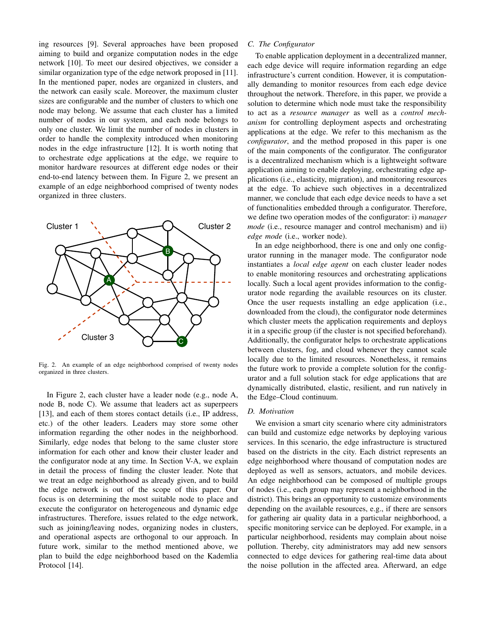ing resources [9]. Several approaches have been proposed aiming to build and organize computation nodes in the edge network [10]. To meet our desired objectives, we consider a similar organization type of the edge network proposed in [11]. In the mentioned paper, nodes are organized in clusters, and the network can easily scale. Moreover, the maximum cluster sizes are configurable and the number of clusters to which one node may belong. We assume that each cluster has a limited number of nodes in our system, and each node belongs to only one cluster. We limit the number of nodes in clusters in order to handle the complexity introduced when monitoring nodes in the edge infrastructure [12]. It is worth noting that to orchestrate edge applications at the edge, we require to monitor hardware resources at different edge nodes or their end-to-end latency between them. In Figure 2, we present an example of an edge neighborhood comprised of twenty nodes organized in three clusters.



Fig. 2. An example of an edge neighborhood comprised of twenty nodes organized in three clusters.

In Figure 2, each cluster have a leader node (e.g., node A, node B, node C). We assume that leaders act as superpeers [13], and each of them stores contact details (i.e., IP address, etc.) of the other leaders. Leaders may store some other information regarding the other nodes in the neighborhood. Similarly, edge nodes that belong to the same cluster store information for each other and know their cluster leader and the configurator node at any time. In Section V-A, we explain in detail the process of finding the cluster leader. Note that we treat an edge neighborhood as already given, and to build the edge network is out of the scope of this paper. Our focus is on determining the most suitable node to place and execute the configurator on heterogeneous and dynamic edge infrastructures. Therefore, issues related to the edge network, such as joining/leaving nodes, organizing nodes in clusters, and operational aspects are orthogonal to our approach. In future work, similar to the method mentioned above, we plan to build the edge neighborhood based on the Kademlia Protocol [14].

# *C. The Configurator*

To enable application deployment in a decentralized manner, each edge device will require information regarding an edge infrastructure's current condition. However, it is computationally demanding to monitor resources from each edge device throughout the network. Therefore, in this paper, we provide a solution to determine which node must take the responsibility to act as a *resource manager* as well as a *control mechanism* for controlling deployment aspects and orchestrating applications at the edge. We refer to this mechanism as the *configurator*, and the method proposed in this paper is one of the main components of the configurator. The configurator is a decentralized mechanism which is a lightweight software application aiming to enable deploying, orchestrating edge applications (i.e., elasticity, migration), and monitoring resources at the edge. To achieve such objectives in a decentralized manner, we conclude that each edge device needs to have a set of functionalities embedded through a configurator. Therefore, we define two operation modes of the configurator: i) *manager mode* (i.e., resource manager and control mechanism) and ii) *edge mode* (i.e., worker node).

In an edge neighborhood, there is one and only one configurator running in the manager mode. The configurator node instantiates a *local edge agent* on each cluster leader nodes to enable monitoring resources and orchestrating applications locally. Such a local agent provides information to the configurator node regarding the available resources on its cluster. Once the user requests installing an edge application (i.e., downloaded from the cloud), the configurator node determines which cluster meets the application requirements and deploys it in a specific group (if the cluster is not specified beforehand). Additionally, the configurator helps to orchestrate applications between clusters, fog, and cloud whenever they cannot scale locally due to the limited resources. Nonetheless, it remains the future work to provide a complete solution for the configurator and a full solution stack for edge applications that are dynamically distributed, elastic, resilient, and run natively in the Edge–Cloud continuum.

#### *D. Motivation*

We envision a smart city scenario where city administrators can build and customize edge networks by deploying various services. In this scenario, the edge infrastructure is structured based on the districts in the city. Each district represents an edge neighborhood where thousand of computation nodes are deployed as well as sensors, actuators, and mobile devices. An edge neighborhood can be composed of multiple groups of nodes (i.e., each group may represent a neighborhood in the district). This brings an opportunity to customize environments depending on the available resources, e.g., if there are sensors for gathering air quality data in a particular neighborhood, a specific monitoring service can be deployed. For example, in a particular neighborhood, residents may complain about noise pollution. Thereby, city administrators may add new sensors connected to edge devices for gathering real-time data about the noise pollution in the affected area. Afterward, an edge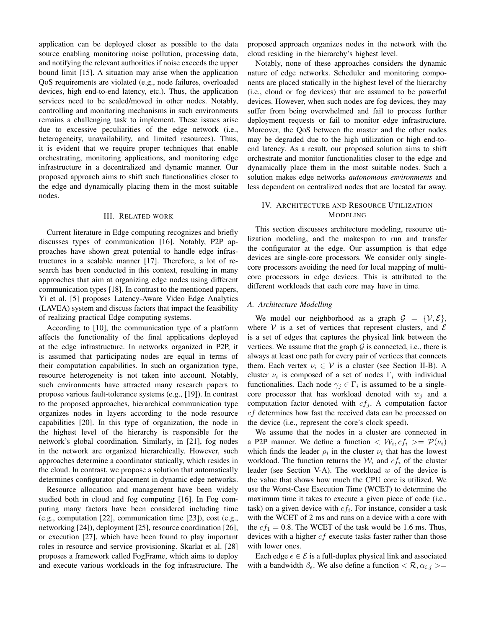application can be deployed closer as possible to the data source enabling monitoring noise pollution, processing data, and notifying the relevant authorities if noise exceeds the upper bound limit [15]. A situation may arise when the application QoS requirements are violated (e.g., node failures, overloaded devices, high end-to-end latency, etc.). Thus, the application services need to be scaled/moved in other nodes. Notably, controlling and monitoring mechanisms in such environments remains a challenging task to implement. These issues arise due to excessive peculiarities of the edge network (i.e., heterogeneity, unavailability, and limited resources). Thus, it is evident that we require proper techniques that enable orchestrating, monitoring applications, and monitoring edge infrastructure in a decentralized and dynamic manner. Our proposed approach aims to shift such functionalities closer to the edge and dynamically placing them in the most suitable nodes.

#### III. RELATED WORK

Current literature in Edge computing recognizes and briefly discusses types of communication [16]. Notably, P2P approaches have shown great potential to handle edge infrastructures in a scalable manner [17]. Therefore, a lot of research has been conducted in this context, resulting in many approaches that aim at organizing edge nodes using different communication types [18]. In contrast to the mentioned papers, Yi et al. [5] proposes Latency-Aware Video Edge Analytics (LAVEA) system and discuss factors that impact the feasibility of realizing practical Edge computing systems.

According to [10], the communication type of a platform affects the functionality of the final applications deployed at the edge infrastructure. In networks organized in P2P, it is assumed that participating nodes are equal in terms of their computation capabilities. In such an organization type, resource heterogeneity is not taken into account. Notably, such environments have attracted many research papers to propose various fault-tolerance systems (e.g., [19]). In contrast to the proposed approaches, hierarchical communication type organizes nodes in layers according to the node resource capabilities [20]. In this type of organization, the node in the highest level of the hierarchy is responsible for the network's global coordination. Similarly, in [21], fog nodes in the network are organized hierarchically. However, such approaches determine a coordinator statically, which resides in the cloud. In contrast, we propose a solution that automatically determines configurator placement in dynamic edge networks.

Resource allocation and management have been widely studied both in cloud and fog computing [16]. In Fog computing many factors have been considered including time (e.g., computation [22], communication time [23]), cost (e.g., networking [24]), deployment [25], resource coordination [26], or execution [27], which have been found to play important roles in resource and service provisioning. Skarlat et al. [28] proposes a framework called FogFrame, which aims to deploy and execute various workloads in the fog infrastructure. The proposed approach organizes nodes in the network with the cloud residing in the hierarchy's highest level.

Notably, none of these approaches considers the dynamic nature of edge networks. Scheduler and monitoring components are placed statically in the highest level of the hierarchy (i.e., cloud or fog devices) that are assumed to be powerful devices. However, when such nodes are fog devices, they may suffer from being overwhelmed and fail to process further deployment requests or fail to monitor edge infrastructure. Moreover, the QoS between the master and the other nodes may be degraded due to the high utilization or high end-toend latency. As a result, our proposed solution aims to shift orchestrate and monitor functionalities closer to the edge and dynamically place them in the most suitable nodes. Such a solution makes edge networks *autonomous environments* and less dependent on centralized nodes that are located far away.

# IV. ARCHITECTURE AND RESOURCE UTILIZATION MODELING

This section discusses architecture modeling, resource utilization modeling, and the makespan to run and transfer the configurator at the edge. Our assumption is that edge devices are single-core processors. We consider only singlecore processors avoiding the need for local mapping of multicore processors in edge devices. This is attributed to the different workloads that each core may have in time.

#### *A. Architecture Modelling*

We model our neighborhood as a graph  $\mathcal{G} = \{V, \mathcal{E}\},\$ where V is a set of vertices that represent clusters, and  $\mathcal E$ is a set of edges that captures the physical link between the vertices. We assume that the graph  $G$  is connected, i.e., there is always at least one path for every pair of vertices that connects them. Each vertex  $\nu_i \in V$  is a cluster (see Section II-B). A cluster  $\nu_i$  is composed of a set of nodes  $\Gamma_i$  with individual functionalities. Each node  $\gamma_j \in \Gamma_i$  is assumed to be a singlecore processor that has workload denoted with  $w_i$  and a computation factor denoted with  $cf_j$ . A computation factor cf determines how fast the received data can be processed on the device (i.e., represent the core's clock speed).

We assume that the nodes in a cluster are connected in a P2P manner. We define a function  $\langle W_i, cf_i \rangle = \mathcal{P}(\nu_i)$ which finds the leader  $\rho_i$  in the cluster  $\nu_i$  that has the lowest workload. The function returns the  $W_i$  and  $cf_i$  of the cluster leader (see Section V-A). The workload  $w$  of the device is the value that shows how much the CPU core is utilized. We use the Worst-Case Execution Time (WCET) to determine the maximum time it takes to execute a given piece of code (i.e., task) on a given device with  $cf_i$ . For instance, consider a task with the WCET of 2 ms and runs on a device with a core with the  $cf_1 = 0.8$ . The WCET of the task would be 1.6 ms. Thus, devices with a higher  $cf$  execute tasks faster rather than those with lower ones.

Each edge  $\epsilon \in \mathcal{E}$  is a full-duplex physical link and associated with a bandwidth  $\beta_{\epsilon}$ . We also define a function  $\langle \mathcal{R}, \alpha_{i,j} \rangle$  =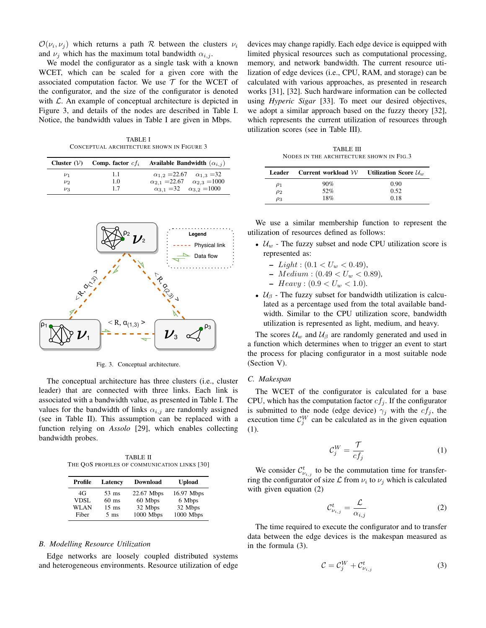$\mathcal{O}(\nu_i, \nu_j)$  which returns a path R between the clusters  $\nu_i$ and  $\nu_i$  which has the maximum total bandwidth  $\alpha_{i,i}$ .

We model the configurator as a single task with a known WCET, which can be scaled for a given core with the associated computation factor. We use  $\mathcal T$  for the WCET of the configurator, and the size of the configurator is denoted with  $\mathcal{L}$ . An example of conceptual architecture is depicted in Figure 3, and details of the nodes are described in Table I. Notice, the bandwidth values in Table I are given in Mbps.

TABLE I CONCEPTUAL ARCHITECTURE SHOWN IN FIGURE 3

|         | Available Bandwidth $(\alpha_{i,j})$<br>Cluster $(V)$ Comp. factor $cf_i$ |                                                  |
|---------|---------------------------------------------------------------------------|--------------------------------------------------|
| $\nu_1$ | 1.1                                                                       | $\alpha_{1,2} = 22.67$ $\alpha_{1,3} = 32$       |
| $\nu_2$ | 1.0                                                                       | $\alpha_{2,1} = 22.67 \quad \alpha_{2,3} = 1000$ |
| $\nu_3$ | 1.7                                                                       | $\alpha_{3,1} = 32$ $\alpha_{3,2} = 1000$        |



Fig. 3. Conceptual architecture.

The conceptual architecture has three clusters (i.e., cluster leader) that are connected with three links. Each link is associated with a bandwidth value, as presented in Table I. The values for the bandwidth of links  $\alpha_{i,j}$  are randomly assigned (see in Table II). This assumption can be replaced with a function relying on *Assolo* [29], which enables collecting bandwidth probes.

TABLE II THE QOS PROFILES OF COMMUNICATION LINKS [30]

| Profile     | Latency         | <b>Download</b> | <b>Upload</b> |
|-------------|-----------------|-----------------|---------------|
| 4G          | $53 \text{ ms}$ | 22.67 Mbps      | 16.97 Mbps    |
| <b>VDSL</b> | $60$ ms         | 60 Mbps         | 6 Mbps        |
| WLAN        | $15 \text{ ms}$ | 32 Mbps         | 32 Mbps       |
| Fiber       | $5 \text{ ms}$  | 1000 Mbps       | 1000 Mbps     |

#### *B. Modelling Resource Utilization*

Edge networks are loosely coupled distributed systems and heterogeneous environments. Resource utilization of edge devices may change rapidly. Each edge device is equipped with limited physical resources such as computational processing, memory, and network bandwidth. The current resource utilization of edge devices (i.e., CPU, RAM, and storage) can be calculated with various approaches, as presented in research works [31], [32]. Such hardware information can be collected using *Hyperic Sigar* [33]. To meet our desired objectives, we adopt a similar approach based on the fuzzy theory [32], which represents the current utilization of resources through utilization scores (see in Table III).

TABLE III NODES IN THE ARCHITECTURE SHOWN IN FIG.3

| Leader   | Current workload $W$ | <b>Utilization Score</b> $\mathcal{U}_w$ |
|----------|----------------------|------------------------------------------|
| $\rho_1$ | 90%                  | 0.90                                     |
| $\rho_2$ | 52%                  | 0.52                                     |
| $\rho_3$ | 18%                  | 0.18                                     |

We use a similar membership function to represent the utilization of resources defined as follows:

- $U_w$  The fuzzy subset and node CPU utilization score is represented as:
	- $Light: (0.1 < U_w < 0.49),$
	- Medium : (0.49 < U<sup>w</sup> < 0.89)*,*
	- $-$  *Heavy* :  $(0.9 < U_w < 1.0)$ *.*
- $U_\beta$  The fuzzy subset for bandwidth utilization is calculated as a percentage used from the total available bandwidth. Similar to the CPU utilization score, bandwidth utilization is represented as light, medium, and heavy.

The scores  $\mathcal{U}_w$  and  $\mathcal{U}_\beta$  are randomly generated and used in a function which determines when to trigger an event to start the process for placing configurator in a most suitable node (Section V).

#### *C. Makespan*

The WCET of the configurator is calculated for a base CPU, which has the computation factor  $cf<sub>j</sub>$ . If the configurator is submitted to the node (edge device)  $\gamma_i$  with the  $cf_i$ , the execution time  $\mathcal{C}_j^W$  can be calculated as in the given equation (1).

$$
\mathcal{C}_j^W = \frac{\mathcal{T}}{cf_j} \tag{1}
$$

We consider  $\mathcal{C}_{\nu_{i,j}}^t$  to be the commutation time for transferring the configurator of size  $\mathcal L$  from  $\nu_i$  to  $\nu_j$  which is calculated with given equation (2)

$$
\mathcal{C}_{\nu_{i,j}}^t = \frac{\mathcal{L}}{\alpha_{i,j}}\tag{2}
$$

The time required to execute the configurator and to transfer data between the edge devices is the makespan measured as in the formula (3).

$$
\mathcal{C} = \mathcal{C}_j^W + \mathcal{C}_{\nu_{i,j}}^t \tag{3}
$$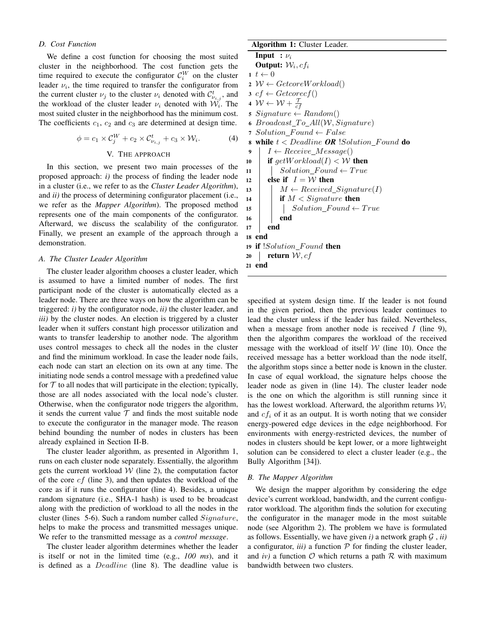# *D. Cost Function*

We define a cost function for choosing the most suited cluster in the neighborhood. The cost function gets the time required to execute the configurator  $\mathcal{C}_i^W$  on the cluster leader  $\nu_i$ , the time required to transfer the configurator from the current cluster  $\nu_j$  to the cluster  $\nu_i$  denoted with  $\mathcal{C}^t_{\nu_{i,j}}$ , and the workload of the cluster leader  $\nu_i$  denoted with  $\mathcal{W}_i$ . The most suited cluster in the neighborhood has the minimum cost. The coefficients  $c_1$ ,  $c_2$  and  $c_3$  are determined at design time.

$$
\phi = c_1 \times \mathcal{C}_j^W + c_2 \times \mathcal{C}_{\nu_{i,j}}^t + c_3 \times \mathcal{W}_i.
$$
 (4)

#### V. THE APPROACH

In this section, we present two main processes of the proposed approach: *i)* the process of finding the leader node in a cluster (i.e., we refer to as the *Cluster Leader Algorithm*), and *ii)* the process of determining configurator placement (i.e., we refer as the *Mapper Algorithm*). The proposed method represents one of the main components of the configurator. Afterward, we discuss the scalability of the configurator. Finally, we present an example of the approach through a demonstration.

#### *A. The Cluster Leader Algorithm*

The cluster leader algorithm chooses a cluster leader, which is assumed to have a limited number of nodes. The first participant node of the cluster is automatically elected as a leader node. There are three ways on how the algorithm can be triggered: *i)* by the configurator node, *ii)* the cluster leader, and *iii*) by the cluster nodes. An election is triggered by a cluster leader when it suffers constant high processor utilization and wants to transfer leadership to another node. The algorithm uses control messages to check all the nodes in the cluster and find the minimum workload. In case the leader node fails, each node can start an election on its own at any time. The initiating node sends a control message with a predefined value for  $T$  to all nodes that will participate in the election; typically, those are all nodes associated with the local node's cluster. Otherwise, when the configurator node triggers the algorithm, it sends the current value  $T$  and finds the most suitable node to execute the configurator in the manager mode. The reason behind bounding the number of nodes in clusters has been already explained in Section II-B.

The cluster leader algorithm, as presented in Algorithm 1, runs on each cluster node separately. Essentially, the algorithm gets the current workload  $W$  (line 2), the computation factor of the core  $cf$  (line 3), and then updates the workload of the core as if it runs the configurator (line 4). Besides, a unique random signature (i.e., SHA-1 hash) is used to be broadcast along with the prediction of workload to all the nodes in the cluster (lines 5-6). Such a random number called Signature, helps to make the process and transmitted messages unique. We refer to the transmitted message as a *control message*.

The cluster leader algorithm determines whether the leader is itself or not in the limited time (e.g., *100 ms*), and it is defined as a *Deadline* (line 8). The deadline value is

# Algorithm 1: Cluster Leader.

```
Input : \nu_i
```
Output:  $W_i, cf_i$ 

- 1  $t \leftarrow 0$  $2 \mathcal{W} \leftarrow \text{GetcoreWorld}(1)$
- $3 \text{ cf } \leftarrow \text{Getcore}(f)$
- 4  $\mathcal{W} \leftarrow \mathcal{W} + \frac{\mathcal{T}}{cf}$
- 5 Signature  $\leftarrow$  Random()
- 6 Broadcast To  $All(W, Signature)$
- 7 Solution  $Found \leftarrow False$
- 8 while  $t < D$ eadline **OR** *Solution Found* do
- 9 |  $I \leftarrow Receive\_Message()$
- 10 if  $qetWorkload(I) < W$  then
- 11 |  $Solution_F$  ound  $\leftarrow$  True
- 12 else if  $I = W$  then
- 13  $\mid M \leftarrow Received\_Signature(I)$
- 14 **if**  $M <$  Signature then
- 15 | |  $Solution_F$  ound  $\leftarrow True$

16 **end** 17 | end

# 18 end

19 if *!Solution\_Found* then 20 **return**  $W, cf$ 

21 end

specified at system design time. If the leader is not found in the given period, then the previous leader continues to lead the cluster unless if the leader has failed. Nevertheless, when a message from another node is received  $I$  (line 9), then the algorithm compares the workload of the received message with the workload of itself  $W$  (line 10). Once the received message has a better workload than the node itself, the algorithm stops since a better node is known in the cluster. In case of equal workload, the signature helps choose the leader node as given in (line 14). The cluster leader node is the one on which the algorithm is still running since it has the lowest workload. Afterward, the algorithm returns  $W_i$ and  $cf_i$  of it as an output. It is worth noting that we consider energy-powered edge devices in the edge neighborhood. For environments with energy-restricted devices, the number of nodes in clusters should be kept lower, or a more lightweight solution can be considered to elect a cluster leader (e.g., the Bully Algorithm [34]).

# *B. The Mapper Algorithm*

We design the mapper algorithm by considering the edge device's current workload, bandwidth, and the current configurator workload. The algorithm finds the solution for executing the configurator in the manager mode in the most suitable node (see Algorithm 2). The problem we have is formulated as follows. Essentially, we have given  $i$ ) a network graph  $G$ ,  $ii$ ) a configurator,  $iii)$  a function  $P$  for finding the cluster leader, and  $iv$ ) a function  $O$  which returns a path  $R$  with maximum bandwidth between two clusters.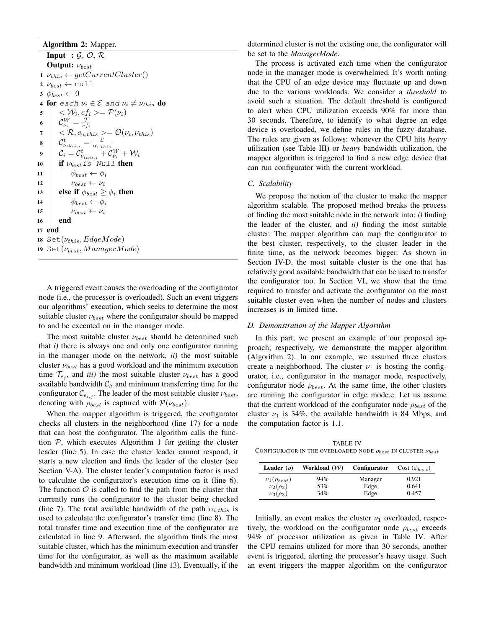# Algorithm 2: Mapper.

Input :  $\mathcal{G}, \mathcal{O}, \mathcal{R}$ Output:  $ν_{best}$  $1 \nu_{this} \leftarrow getCurrentCluster()$ 2  $\nu_{best} \leftarrow \texttt{null}$  $\phi_{best} \leftarrow 0$ 4 for each  $\nu_i \in \mathcal{E}$  and  $\nu_i \neq \nu_{this}$  do  $\mathsf{s} \quad | \quad <\mathcal{W}_i, cf_i>=\mathcal{P}(\nu_i)$ 6  $\mathcal{C}^W_{\nu_i} = \frac{\mathcal{T}}{c f_i}$  $7 \mid \langle \mathcal{R}, \alpha_{i, this} \rangle = \mathcal{O}(\nu_i, \nu_{this})$  $\begin{array}{c|c} \mathbf{8} & \mathcal{C}_{\nu_{this,i}}^t = \frac{\mathcal{L}}{\alpha_{i, this}} \ \mathcal{C}_i = \mathcal{C}_{\nu_{this,i}}^t + \mathcal{C}_{\nu_i}^W + \mathcal{W}_i \end{array}$ 10  $\int$  if  $\nu_{best}$  is Null then 11  $\phi_{best} \leftarrow \phi_i$ 12  $\nu_{best} \leftarrow \nu_i$ 13 else if  $\phi_{best} \geq \phi_i$  then 14  $\phi_{best} \leftarrow \phi_i$ 15  $v_{best} \leftarrow v_i$ 16 end 17 end 18 Set $(\nu_{this}, EdgeMode)$ 19 Set $(\nu_{best}, Managementode)$ 

A triggered event causes the overloading of the configurator node (i.e., the processor is overloaded). Such an event triggers our algorithms' execution, which seeks to determine the most suitable cluster  $\nu_{best}$  where the configurator should be mapped to and be executed on in the manager mode.

The most suitable cluster  $\nu_{best}$  should be determined such that *i)* there is always one and only one configurator running in the manager mode on the network, *ii)* the most suitable cluster  $\nu_{best}$  has a good workload and the minimum execution time  $\mathcal{T}_{e_j}$ , and *iii*) the most suitable cluster  $\nu_{best}$  has a good available bandwidth  $C_\beta$  and minimum transferring time for the configurator  $\mathcal{C}_{e_{i,j}}$ . The leader of the most suitable cluster  $\nu_{best}$ , denoting with  $\rho_{best}$  is captured with  $\mathcal{P}(\nu_{best})$ .

When the mapper algorithm is triggered, the configurator checks all clusters in the neighborhood (line 17) for a node that can host the configurator. The algorithm calls the function  $P$ , which executes Algorithm 1 for getting the cluster leader (line 5). In case the cluster leader cannot respond, it starts a new election and finds the leader of the cluster (see Section V-A). The cluster leader's computation factor is used to calculate the configurator's execution time on it (line 6). The function  $\mathcal O$  is called to find the path from the cluster that currently runs the configurator to the cluster being checked (line 7). The total available bandwidth of the path  $\alpha_{i, this}$  is used to calculate the configurator's transfer time (line 8). The total transfer time and execution time of the configurator are calculated in line 9. Afterward, the algorithm finds the most suitable cluster, which has the minimum execution and transfer time for the configurator, as well as the maximum available bandwidth and minimum workload (line 13). Eventually, if the

determined cluster is not the existing one, the configurator will be set to the *ManagerMode*.

The process is activated each time when the configurator node in the manager mode is overwhelmed. It's worth noting that the CPU of an edge device may fluctuate up and down due to the various workloads. We consider a *threshold* to avoid such a situation. The default threshold is configured to alert when CPU utilization exceeds 90% for more than 30 seconds. Therefore, to identify to what degree an edge device is overloaded, we define rules in the fuzzy database. The rules are given as follows: whenever the CPU hits *heavy* utilization (see Table III) or *heavy* bandwidth utilization, the mapper algorithm is triggered to find a new edge device that can run configurator with the current workload.

#### *C. Scalability*

We propose the notion of the cluster to make the mapper algorithm scalable. The proposed method breaks the process of finding the most suitable node in the network into: *i)* finding the leader of the cluster, and *ii)* finding the most suitable cluster. The mapper algorithm can map the configurator to the best cluster, respectively, to the cluster leader in the finite time, as the network becomes bigger. As shown in Section IV-D, the most suitable cluster is the one that has relatively good available bandwidth that can be used to transfer the configurator too. In Section VI, we show that the time required to transfer and activate the configurator on the most suitable cluster even when the number of nodes and clusters increases is in limited time.

# *D. Demonstration of the Mapper Algorithm*

In this part, we present an example of our proposed approach; respectively, we demonstrate the mapper algorithm (Algorithm 2). In our example, we assumed three clusters create a neighborhood. The cluster  $\nu_1$  is hosting the configurator, i.e., configurator in the manager mode, respectively, configurator node  $\rho_{best}$ . At the same time, the other clusters are running the configurator in edge mode.e. Let us assume that the current workload of the configurator node  $\rho_{best}$  of the cluster  $\nu_1$  is 34%, the available bandwidth is 84 Mbps, and the computation factor is 1.1.

TABLE IV CONFIGURATOR IN THE OVERLOADED NODE  $\rho_{best}$  IN CLUSTER  $\nu_{best}$ 

| <b>Leader</b> $(\rho)$             | Workload $(W)$ | Configurator | Cost $(\phi_{best})$ |
|------------------------------------|----------------|--------------|----------------------|
| $\nu_1(\rho_{best})$               | 94%            | Manager      | 0.921                |
| $\nu_2(\rho_2)$<br>$\nu_3(\rho_3)$ | 53%<br>34%     | Edge<br>Edge | 0.641<br>0.457       |

Initially, an event makes the cluster  $\nu_1$  overloaded, respectively, the workload on the configurator node  $\rho_{best}$  exceeds 94% of processor utilization as given in Table IV. After the CPU remains utilized for more than 30 seconds, another event is triggered, alerting the processor's heavy usage. Such an event triggers the mapper algorithm on the configurator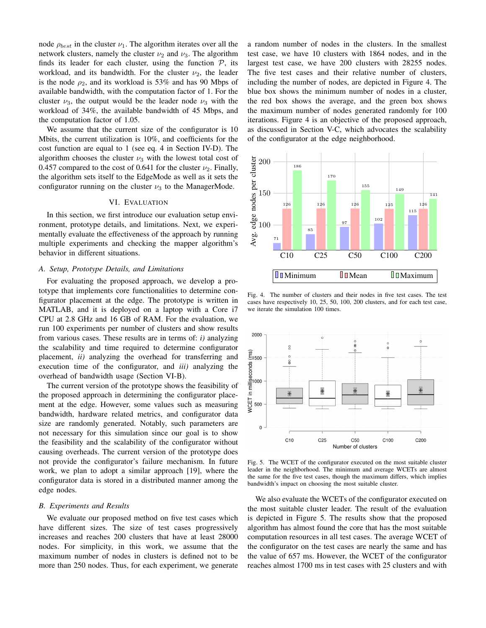node  $\rho_{best}$  in the cluster  $\nu_1$ . The algorithm iterates over all the network clusters, namely the cluster  $\nu_2$  and  $\nu_3$ . The algorithm finds its leader for each cluster, using the function  $P$ , its workload, and its bandwidth. For the cluster  $\nu_2$ , the leader is the node  $\rho_2$ , and its workload is 53% and has 90 Mbps of available bandwidth, with the computation factor of 1. For the cluster  $\nu_3$ , the output would be the leader node  $\nu_3$  with the workload of 34%, the available bandwidth of 45 Mbps, and the computation factor of 1.05.

We assume that the current size of the configurator is 10 Mbits, the current utilization is 10%, and coefficients for the cost function are equal to 1 (see eq. 4 in Section IV-D). The algorithm chooses the cluster  $\nu_3$  with the lowest total cost of 0.457 compared to the cost of 0.641 for the cluster  $\nu_2$ . Finally, the algorithm sets itself to the EdgeMode as well as it sets the configurator running on the cluster  $\nu_3$  to the ManagerMode.

#### VI. EVALUATION

In this section, we first introduce our evaluation setup environment, prototype details, and limitations. Next, we experimentally evaluate the effectiveness of the approach by running multiple experiments and checking the mapper algorithm's behavior in different situations.

#### *A. Setup, Prototype Details, and Limitations*

For evaluating the proposed approach, we develop a prototype that implements core functionalities to determine configurator placement at the edge. The prototype is written in MATLAB, and it is deployed on a laptop with a Core i7 CPU at 2.8 GHz and 16 GB of RAM. For the evaluation, we run 100 experiments per number of clusters and show results from various cases. These results are in terms of: *i)* analyzing the scalability and time required to determine configurator placement, *ii)* analyzing the overhead for transferring and execution time of the configurator, and *iii)* analyzing the overhead of bandwidth usage (Section VI-B).

The current version of the prototype shows the feasibility of the proposed approach in determining the configurator placement at the edge. However, some values such as measuring bandwidth, hardware related metrics, and configurator data size are randomly generated. Notably, such parameters are not necessary for this simulation since our goal is to show the feasibility and the scalability of the configurator without causing overheads. The current version of the prototype does not provide the configurator's failure mechanism. In future work, we plan to adopt a similar approach [19], where the configurator data is stored in a distributed manner among the edge nodes.

# *B. Experiments and Results*

We evaluate our proposed method on five test cases which have different sizes. The size of test cases progressively increases and reaches 200 clusters that have at least 28000 nodes. For simplicity, in this work, we assume that the maximum number of nodes in clusters is defined not to be more than 250 nodes. Thus, for each experiment, we generate a random number of nodes in the clusters. In the smallest test case, we have 10 clusters with 1864 nodes, and in the largest test case, we have 200 clusters with 28255 nodes. The five test cases and their relative number of clusters, including the number of nodes, are depicted in Figure 4. The blue box shows the minimum number of nodes in a cluster, the red box shows the average, and the green box shows the maximum number of nodes generated randomly for 100 iterations. Figure 4 is an objective of the proposed approach, as discussed in Section V-C, which advocates the scalability of the configurator at the edge neighborhood.



Fig. 4. The number of clusters and their nodes in five test cases. The test cases have respectively 10, 25, 50, 100, 200 clusters, and for each test case, we iterate the simulation 100 times.



Fig. 5. The WCET of the configurator executed on the most suitable cluster leader in the neighborhood. The minimum and average WCETs are almost the same for the five test cases, though the maximum differs, which implies bandwidth's impact on choosing the most suitable cluster.

We also evaluate the WCETs of the configurator executed on the most suitable cluster leader. The result of the evaluation is depicted in Figure 5. The results show that the proposed algorithm has almost found the core that has the most suitable computation resources in all test cases. The average WCET of the configurator on the test cases are nearly the same and has the value of 657 ms. However, the WCET of the configurator reaches almost 1700 ms in test cases with 25 clusters and with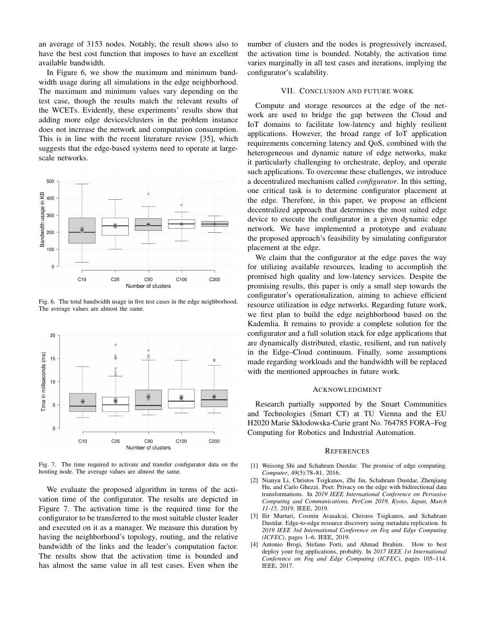an average of 3153 nodes. Notably, the result shows also to have the best cost function that imposes to have an excellent available bandwidth.

In Figure 6, we show the maximum and minimum bandwidth usage during all simulations in the edge neighborhood. The maximum and minimum values vary depending on the test case, though the results match the relevant results of the WCETs. Evidently, these experiments' results show that adding more edge devices/clusters in the problem instance does not increase the network and computation consumption. This is in line with the recent literature review [35], which suggests that the edge-based systems need to operate at largescale networks.



Fig. 6. The total bandwidth usage in five test cases in the edge neighborhood. The average values are almost the same.



Fig. 7. The time required to activate and transfer configurator data on the hosting node. The average values are almost the same.

We evaluate the proposed algorithm in terms of the activation time of the configurator. The results are depicted in Figure 7. The activation time is the required time for the configurator to be transferred to the most suitable cluster leader and executed on it as a manager. We measure this duration by having the neighborhood's topology, routing, and the relative bandwidth of the links and the leader's computation factor. The results show that the activation time is bounded and has almost the same value in all test cases. Even when the number of clusters and the nodes is progressively increased, the activation time is bounded. Notably, the activation time varies marginally in all test cases and iterations, implying the configurator's scalability.

# VII. CONCLUSION AND FUTURE WORK

Compute and storage resources at the edge of the network are used to bridge the gap between the Cloud and IoT domains to facilitate low-latency and highly resilient applications. However, the broad range of IoT application requirements concerning latency and QoS, combined with the heterogeneous and dynamic nature of edge networks, make it particularly challenging to orchestrate, deploy, and operate such applications. To overcome these challenges, we introduce a decentralized mechanism called *configurator*. In this setting, one critical task is to determine configurator placement at the edge. Therefore, in this paper, we propose an efficient decentralized approach that determines the most suited edge device to execute the configurator in a given dynamic edge network. We have implemented a prototype and evaluate the proposed approach's feasibility by simulating configurator placement at the edge.

We claim that the configurator at the edge paves the way for utilizing available resources, leading to accomplish the promised high quality and low-latency services. Despite the promising results, this paper is only a small step towards the configurator's operationalization, aiming to achieve efficient resource utilization in edge networks. Regarding future work, we first plan to build the edge neighborhood based on the Kademlia. It remains to provide a complete solution for the configurator and a full solution stack for edge applications that are dynamically distributed, elastic, resilient, and run natively in the Edge–Cloud continuum. Finally, some assumptions made regarding workloads and the bandwidth will be replaced with the mentioned approaches in future work.

# ACKNOWLEDGMENT

Research partially supported by the Smart Communities and Technologies (Smart CT) at TU Vienna and the EU H2020 Marie Skłodowska-Curie grant No. 764785 FORA–Fog Computing for Robotics and Industrial Automation.

#### **REFERENCES**

- [1] Weisong Shi and Schahram Dustdar. The promise of edge computing. *Computer*, 49(5):78–81, 2016.
- [2] Nianyu Li, Christos Tsigkanos, Zhi Jin, Schahram Dustdar, Zhenjiang Hu, and Carlo Ghezzi. Poet: Privacy on the edge with bidirectional data transformations. In *2019 IEEE International Conference on Pervasive Computing and Communications, PerCom 2019, Kyoto, Japan, March 11-15, 2019*. IEEE, 2019.
- [3] Ilir Murturi, Cosmin Avasalcai, Christos Tsigkanos, and Schahram Dustdar. Edge-to-edge resource discovery using metadata replication. In *2019 IEEE 3rd International Conference on Fog and Edge Computing (ICFEC)*, pages 1–6. IEEE, 2019.
- [4] Antonio Brogi, Stefano Forti, and Ahmad Ibrahim. How to best deploy your fog applications, probably. In *2017 IEEE 1st International Conference on Fog and Edge Computing (ICFEC)*, pages 105–114. IEEE, 2017.